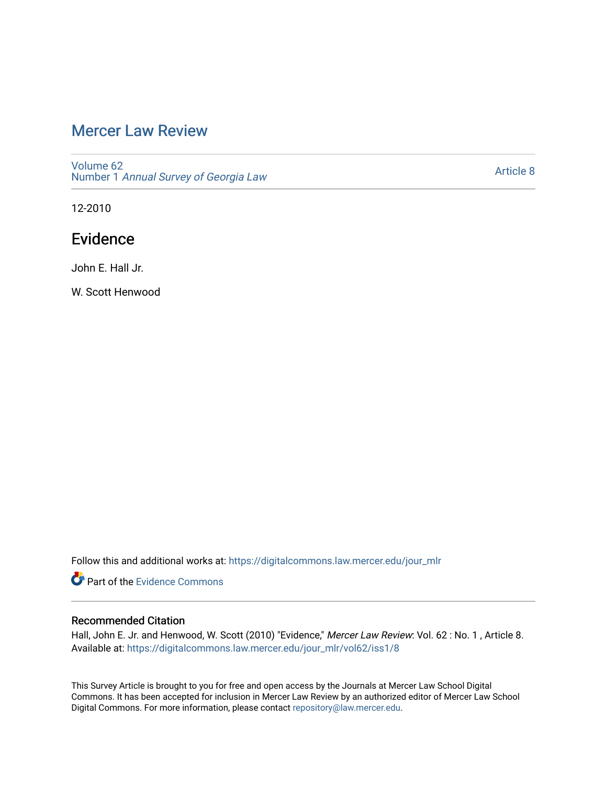# [Mercer Law Review](https://digitalcommons.law.mercer.edu/jour_mlr)

[Volume 62](https://digitalcommons.law.mercer.edu/jour_mlr/vol62) Number 1 [Annual Survey of Georgia Law](https://digitalcommons.law.mercer.edu/jour_mlr/vol62/iss1) 

[Article 8](https://digitalcommons.law.mercer.edu/jour_mlr/vol62/iss1/8) 

12-2010

# Evidence

John E. Hall Jr.

W. Scott Henwood

Follow this and additional works at: [https://digitalcommons.law.mercer.edu/jour\\_mlr](https://digitalcommons.law.mercer.edu/jour_mlr?utm_source=digitalcommons.law.mercer.edu%2Fjour_mlr%2Fvol62%2Fiss1%2F8&utm_medium=PDF&utm_campaign=PDFCoverPages)

Part of the [Evidence Commons](http://network.bepress.com/hgg/discipline/601?utm_source=digitalcommons.law.mercer.edu%2Fjour_mlr%2Fvol62%2Fiss1%2F8&utm_medium=PDF&utm_campaign=PDFCoverPages) 

# Recommended Citation

Hall, John E. Jr. and Henwood, W. Scott (2010) "Evidence," Mercer Law Review: Vol. 62 : No. 1 , Article 8. Available at: [https://digitalcommons.law.mercer.edu/jour\\_mlr/vol62/iss1/8](https://digitalcommons.law.mercer.edu/jour_mlr/vol62/iss1/8?utm_source=digitalcommons.law.mercer.edu%2Fjour_mlr%2Fvol62%2Fiss1%2F8&utm_medium=PDF&utm_campaign=PDFCoverPages)

This Survey Article is brought to you for free and open access by the Journals at Mercer Law School Digital Commons. It has been accepted for inclusion in Mercer Law Review by an authorized editor of Mercer Law School Digital Commons. For more information, please contact [repository@law.mercer.edu](mailto:repository@law.mercer.edu).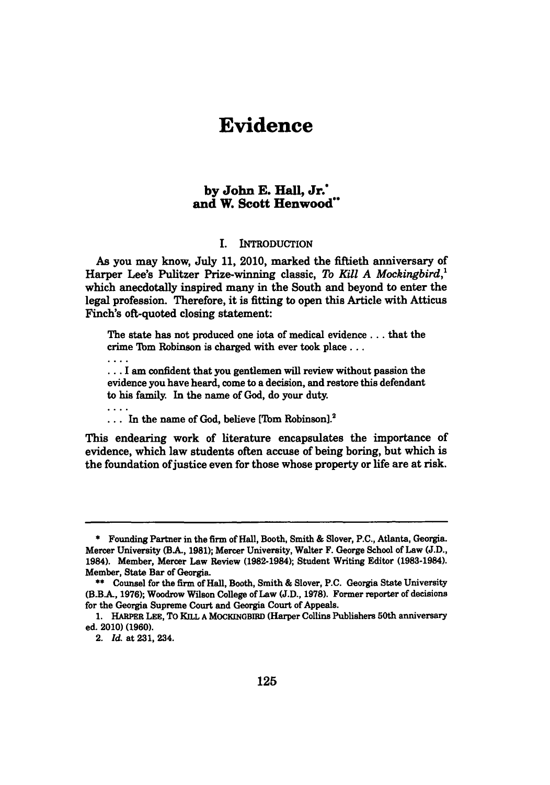# **Evidence**

# **by John E. Hall, Jr. and W. Scott Henwood"**

## **I.** INTRODUCTION

As you may know, July **11,** 2010, marked the fiftieth anniversary of Harper Lee's Pulitzer Prize-winning classic, *To Kill A Mockingbird,'* which anecdotally inspired many in the South and beyond to enter the legal profession. Therefore, it is fitting to open this Article with Atticus Finch's oft-quoted closing statement:

The state has not produced one iota of medical evidence **...** that the crime 'Ibm Robinson is charged with ever took place **...**

... I am confident that you gentlemen will review without passion the evidence you have heard, come to a decision, and restore this defendant to his family. In the name of God, do your duty.

... In the name of God, believe [Tom Robinson].<sup>2</sup>

This endearing work of literature encapsulates the importance of evidence, which law students often accuse of being boring, but which is the foundation of justice even for those whose property or life are at risk.

 $\ldots$ 

**<sup>\*</sup>** Founding Partner in the firm of Hall, Booth, Smith **&** Slover, **P.C.,** Atlanta, Georgia. Mercer University (B.A., **1981);** Mercer University, Walter F. George School of Law **(J.D.,** 1984). Member, Mercer Law Review (1982-1984); Student Writing Editor **(1983-1984).** Member, State Bar of Georgia.

**<sup>\*\*</sup>** Counsel for the firm of Hall, Booth, Smith **&** Slover, **P.C.** Georgia State University **(B.B.A., 1976);** Woodrow Wilson College of Law **(J.D., 1978).** Former reporter of decisions for the Georgia Supreme Court and Georgia Court of Appeals.

**<sup>1.</sup>** HARPER **LEE,** To KILL **A** MOCKINGBIRD (Harper Collins Publishers 50th anniversary ed. 2010) **(1960).**

<sup>2.</sup> *Id.* at **231,** 234.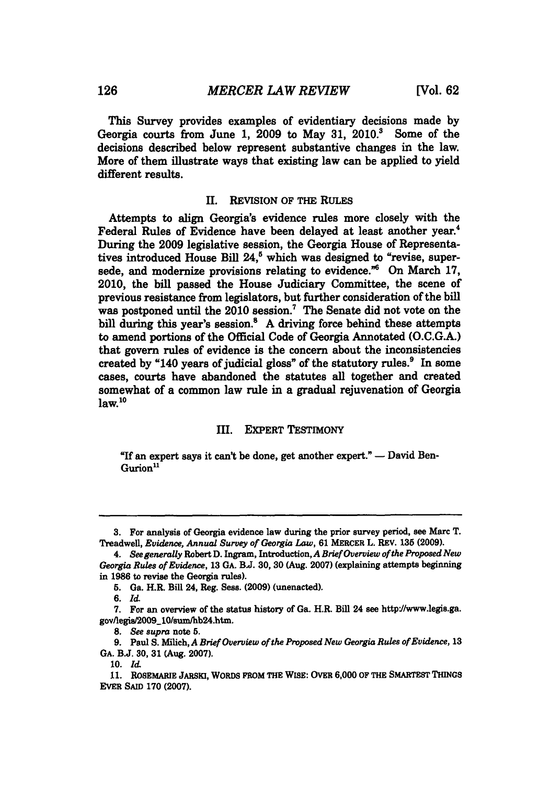This Survey provides examples of evidentiary decisions made **by** Georgia courts from June **1, 2009** to May **31, 2010.3** Some of the decisions described below represent substantive changes in the law. More of them illustrate ways that existing law can be applied to yield different results.

#### **II.** REVISION OF THE **RULES**

Attempts to align Georgia's evidence rules more closely with the Federal Rules of Evidence have been delayed at least another year.<sup>4</sup> During the **2009** legislative session, the Georgia House of Representatives introduced House Bill 24,<sup>5</sup> which was designed to "revise, supersede, and modernize provisions relating to evidence.<sup>"6</sup> On March 17, 2010, the bill passed the House Judiciary Committee, the scene of previous resistance from legislators, but further consideration of the bill was postponed until the  $2010$  session.<sup>7</sup> The Senate did not vote on the bill during this year's session.<sup>8</sup> A driving force behind these attempts to amend portions of the Official Code of Georgia Annotated **(O.C.G.A.)** that govern rules of evidence is the concern about the inconsistencies created **by** "140 years of judicial gloss" of the statutory rules.' In some cases, courts have abandoned the statutes all together and created somewhat of a common law rule in a gradual rejuvenation of Georgia  $law<sup>10</sup>$ 

## III. EXPERT TESTIMONY

"If an expert says it can't be done, get another expert." **-** David Ben-Gurion<sup>11</sup>

**10.** Id

**<sup>3.</sup>** For analysis of Georgia evidence law during the prior survey period, see Marc T. Treadwell, *Euidence, Annual Survey of Georgia Law,* **61** MERCER L. REV. **135 (2009).**

*<sup>4.</sup> See generally* Robert **D.** Ingram, Introduction,A *Brief Overview ofthe Proposed New Georgia Rules of Evidence,* **13 GA. BJ. 30, 30** (Aug. **2007)** (explaining attempts beginning in **1986** to revise the Georgia rules).

**<sup>5.</sup>** Ga. H.R. Bill 24, Reg. Sess. **(2009)** (unenacted).

**<sup>6.</sup>** *Id*

**<sup>7.</sup>** For an overview of the status history of Ga. H.R. Bill 24 see httpJ//www.legis.ga. gov/legia/2009\_10/sum/hb24.htm.

*<sup>8.</sup> See supra* note **5.**

**<sup>9.</sup>** Paul **S.** Milich, *A Brief Overview of the Proposed New Georgia Rules of Evidence, 13* **GA. B.J. 30, 31** (Aug. **2007).**

**<sup>11.</sup>** ROSEMARiE **JARSKI, WORDS FROM THE** WISE: OVER **6,000** OF THE SMARTEST **THINGS** EVER **SAID 170 (2007).**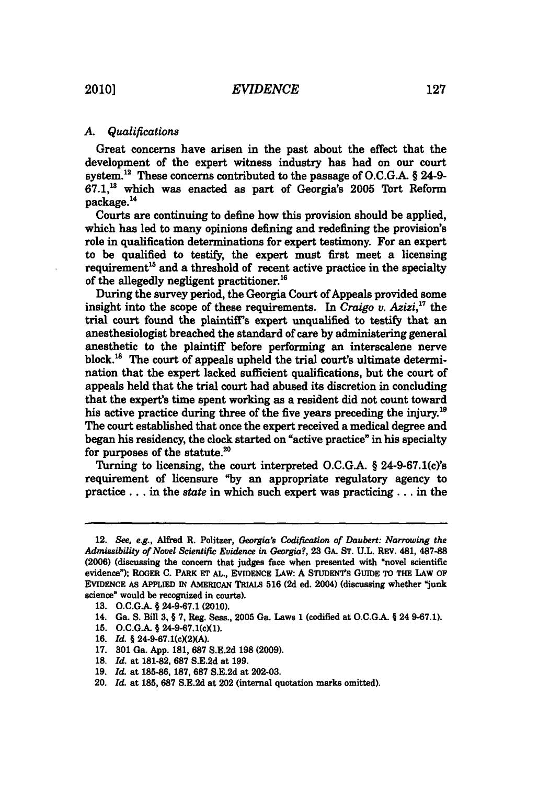# *A. Qualifications*

Great concerns have arisen in the past about the effect that the development of the expert witness industry has had on our court system. 2 These concerns contributed to the passage of **O.C.G.A. §** 24-9- **67.1,3** which was enacted as part of Georgia's **2005** Tort Reform package.14

Courts are continuing to define how this provision should be applied, which has led to many opinions defining and redefining the provision's role in qualification determinations for expert testimony. For an expert to be qualified to testify, the expert must first meet a licensing requirement<sup>15</sup> and a threshold of recent active practice in the specialty of the allegedly negligent practitioner.<sup>16</sup>

During the survey period, the Georgia Court of Appeals provided some insight into the scope of these requirements. In *Craigo v. Azizi,"'* the trial court found the plaintiffs expert unqualified to testify that an anesthesiologist breached the standard of care **by** administering general anesthetic to the plaintiff before performing an interscalene nerve block.<sup>18</sup> The court of appeals upheld the trial court's ultimate determination that the expert lacked sufficient qualifications, but the court of appeals held that the trial court had abused its discretion in concluding that the expert's time spent working as a resident did not count toward his active practice during three of the five years preceding the injury.<sup>19</sup> The court established that once the expert received a medical degree and began his residency, the clock started on "active practice" in his specialty for purposes of the statute. $20$ 

Turning to licensing, the court interpreted O.C.G.A. § 24-9-67.1(c)'s requirement of licensure **"by** an appropriate regulatory agency to practice **...** in the state in which such expert was practicing .. **.** in the

- **15. O.C.G.A.** *§* 24-9-67.1(cXl).
- 16. *Id.* § 24-9-67.1(c)(2)(A).
- **17. 301** Ga. **App. 181, 687 S.E.2d 198 (2009).**
- **18.** *Id.* at **181-82, 687 S.E.2d** at **199.**
- **19.** *Id.* at **185-86, 187, 687 S.E.2d** at **202-03.**
- 20. *Id.* at **185, 687 S.E.2d** at 202 (internal quotation marks omitted).

<sup>12.</sup> *See, e.g.,* Alfred R. Politzer, *Georgia's Codification of Daubert: Narrowing the Admissibility of Novel Scientific Evidence in Georgia?,* **23 GA. ST. U.L.** REV. 481, **487-88 (2006)** (discussing the concern that judges face when presented with "novel scientific evidence"); ROGER **C.** PARK **ET** *AL.,* **EVIDENCE LAW: A** STUDENT's **GUIDE** TO THE LAW OF **EVIDENCE** As APPLIED **IN** AMERicAN TRIALS **516 (2d** ed. 2004) (discussing whether "junk science" would be recognized in courts).

**<sup>13.</sup> O.C.G.A.** *§* **24-9-67.1** (2010).

<sup>14.</sup> Ga. **S.** Bill **3, § 7,** Reg. Sess., **2005** Ga. Laws **1** (codified at **O.C.G.A. §** 24 **9-67.1).**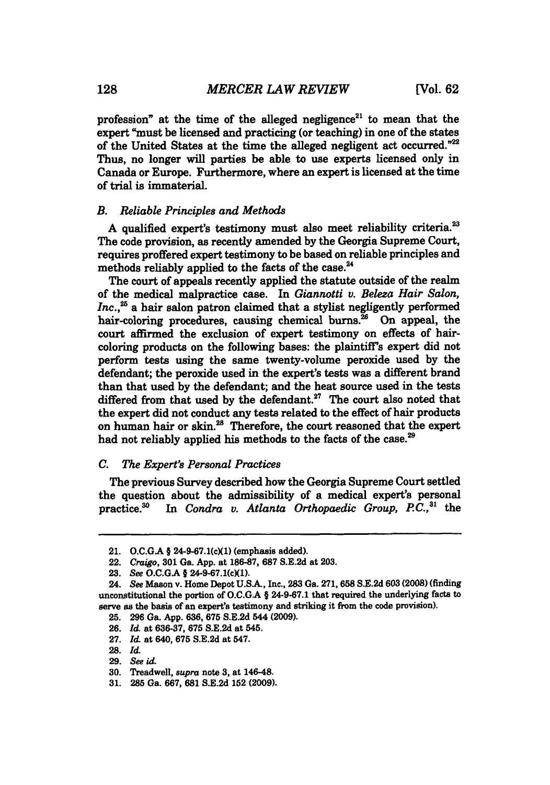profession" at the time of the alleged negligence<sup>21</sup> to mean that the expert "must be licensed and practicing (or teaching) in one of the states of the United States at the time the alleged negligent act occurred."22 Thus, no longer will parties be able to use experts licensed only in Canada or Europe. Furthermore, where an expert is licensed at the time of trial is immaterial.

# *B. Reliable Principles and Methods*

**A** qualified expert's testimony must also meet reliability criteria.' The code provision, as recently amended **by** the Georgia Supreme Court, requires proffered expert testimony to be based on reliable principles and methods reliably applied to the facts of the case.<sup>24</sup>

The court of appeals recently applied the statute outside of the realm of the medical malpractice case. In *Giannotti v. Beleza Hair Salon,* Inc.,<sup>25</sup> a hair salon patron claimed that a stylist negligently performed hair-coloring procedures, causing chemical burns. $^{26}$  On appeal, the court affirmed the exclusion of expert testimony on effects of haircoloring products on the following bases: the plaintiff's expert did not perform tests using the same twenty-volume peroxide used **by** the defendant; the peroxide used in the expert's tests was a different brand than that used **by** the defendant; and the heat source used in the tests differed from that used by the defendant.<sup>27</sup> The court also noted that the expert did not conduct any tests related to the effect of hair products on human hair or skin.<sup>28</sup> Therefore, the court reasoned that the expert had not reliably applied his methods to the facts of the case.<sup>29</sup>

#### *C. The Expert's Personal Practices*

The previous Survey described how the Georgia Supreme Court settled the question about the admissibility of a medical expert's personal practice.<sup>30</sup> In *Condra v. Atlanta Orthopaedic Group, P.C.*,<sup>31</sup> the In *Condra v. Atlanta Orthopaedic Group, P.C.*,<sup>31</sup> the

<sup>21.</sup> **O.C.GA** *§* 24-9-67.1(cXl) (emphasis added).

<sup>22.</sup> *Craigo, 301* Ga. **App.** at **186-87, 687 S.E.2d** at **203.**

**<sup>23.</sup>** *See* **O.C.GA §** 24-9-67.1(cXl).

<sup>24.</sup> *See* Mason v. Home Depot **U.SA,** Inc., **283** Ga. **271, 658 S.E.2d 603 (2008)** (finding unconstitutional the portion of **O.C.G.A** *§* **24-9-67.1** that required the underlying facts to serve as the basis of an expert's testimony and striking it from the code provision).

**<sup>25. 296</sup>** Ga. **App. 636, 675 S.E.2d** 544 **(2009).**

**<sup>26.</sup>** *Id.* at **636-37, 675 S.E.2d** at 545.

**<sup>27.</sup>** *Id.* at 640, **675 S.E.2d** at 547.

**<sup>28.</sup>** *Id.*

**<sup>29.</sup>** *See id.*

**<sup>30.</sup>** Treadwell, supra note **3,** at 146-48,

**<sup>31. 285</sup>** Ga. **667, 681 S.E.2d 152 (2009).**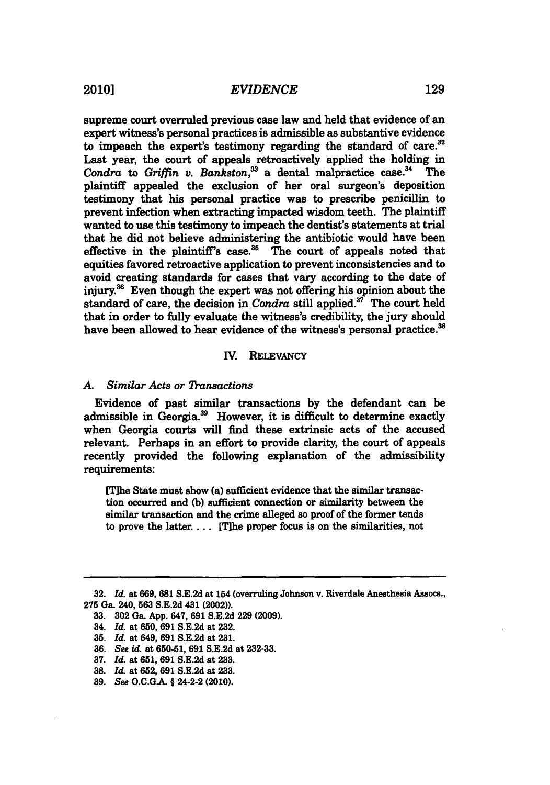supreme court overruled previous case law and held that evidence of an expert witness's personal practices is admissible as substantive evidence to impeach the expert's testimony regarding the standard of care. $32$ Last year, the court of appeals retroactively applied the holding in Condra to *Griffin v. Bankston*,<sup>33</sup> a dental malpractice case.<sup>34</sup> The plaintiff appealed the exclusion of her oral surgeon's deposition testimony that his personal practice was to prescribe penicillin to prevent infection when extracting impacted wisdom teeth. The plaintiff wanted to use this testimony to impeach the dentist's statements at trial that he did not believe administering the antibiotic would have been effective in the plaintiff's case. $35$  The court of appeals noted that equities favored retroactive application to prevent inconsistencies and to avoid creating standards for cases that vary according to the date of injury.<sup>36</sup> Even though the expert was not offering his opinion about the standard of care, the decision in *Condra* still applied.37 The court held that in order to fully evaluate the witness's credibility, the jury should have been allowed to hear evidence of the witness's personal practice.<sup>38</sup>

#### IV. RELEVANCY

#### *A. Similar Acts or '1)ansactions*

Evidence of past similar transactions **by** the defendant can be admissible in Georgia.<sup>39</sup> However, it is difficult to determine exactly when Georgia courts will find these extrinsic acts of the accused relevant. Perhaps in an effort to provide clarity, the court of appeals recently provided the following explanation of the admissibility requirements:

[T]he State must show (a) sufficient evidence that the similar transaction occurred and **(b)** sufficient connection or similarity between the similar transaction and the crime alleged so proof of the former tends to prove the latter.... [Tihe proper focus is on the similarities, not

**<sup>32.</sup>** *Id.* at **669, 681 S.E.2d** at 154 (overruling Johnson v. Riverdale Anesthesia Assocs., **275** Ga. 240, **563 S.E.2d** 431 (2002)).

**<sup>33. 302</sup>** Ga. **App.** 647, **691 S.E.2d 229 (2009).**

<sup>34.</sup> *Id.* at **650, 691 S.E.2d** at **232.**

**<sup>35.</sup>** *Id.* at 649, **691 S.E.2d** at **231.**

**<sup>36.</sup>** *See id.* at **650-51, 691 S.E.2d** at **232-33.**

**<sup>37.</sup>** *Id.* at **651, 691 S.E.2d** at **233.**

**<sup>38.</sup>** *Id.* at **652, 691 S.E.2d** at **233.**

**<sup>39.</sup>** *See* **O.C.G.A. §** 24-2-2 (2010).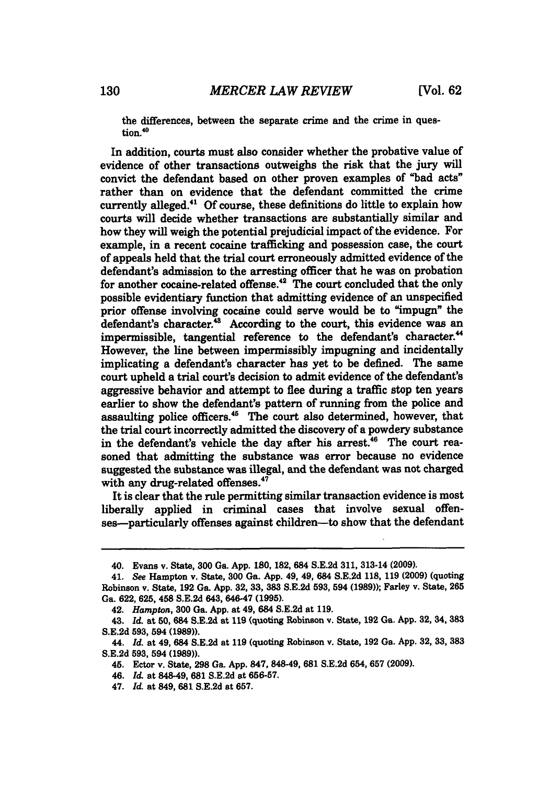the differences, between the separate crime and the crime in question.<sup>40</sup>

In addition, courts must also consider whether the probative value of evidence of other transactions outweighs the risk that the jury will convict the defendant based on other proven examples of "bad acts" rather than on evidence that the defendant committed the crime currently alleged." **Of** course, these definitions do little to explain how courts will decide whether transactions are substantially similar and how they will weigh the potential prejudicial impact of the evidence. For example, in a recent cocaine trafficking and possession case, the court of appeals held that the trial court erroneously admitted evidence of the defendant's admission to the arresting officer that he was on probation for another cocaine-related offense.<sup>42</sup> The court concluded that the only possible evidentiary function that admitting evidence of an unspecified prior offense involving cocaine could serve would be to "impugn" the defendant's character. $48$  According to the court, this evidence was an impermissible, tangential reference to the defendant's character.<sup>44</sup> However, the line between impermissibly impugning and incidentally implicating a defendant's character has yet to be defined. The same court upheld a trial court's decision to admit evidence of the defendant's aggressive behavior and attempt to flee during a traffic stop ten years earlier to show the defendant's pattern of running from the police and assaulting police officers.<sup>45</sup> The court also determined, however, that the trial court incorrectly admitted the discovery of a powdery substance in the defendant's vehicle the day after his arrest.<sup>46</sup> The court reasoned that admitting the substance was error because no evidence suggested the substance was illegal, and the defendant was not charged with any drug-related offenses.<sup>47</sup>

It is clear that the rule permitting similar transaction evidence is most liberally applied in criminal cases that involve sexual offenses—particularly offenses against children—to show that the defendant

<sup>40.</sup> Evans v. State, **300** Ga. **App. 180, 182,** 684 **S.E.2d 311,** 313-14 **(2009).**

<sup>41.</sup> *See* Hampton v. State, **300** Ga. **App.** 49, 49, 684 **S.E.2d 118, 119 (2009)** (quoting Robinson v. State, **192** Ga. **App.** 32, **33, 383 S.E.2d 593,** 594 **(1989));** Farley v. State, **265** Ga. **622, 625,** 458 **S.E.2d** 643, 646-47 **(1995).**

<sup>42.</sup> *Hampton,* **300** Ga. **App.** at 49, 684 **S.E.2d** at **119.**

<sup>43.</sup> *Id.* at **50,** 684 **S.E.2d** at **119** (quoting Robinson v. State, **192** Ga. **App. 32,** 34, **383 S.E.2d 593,** 594 **(1989)).**

<sup>44.</sup> *Id.* at 49, 684 **S.E.2d** at **119** (quoting Robinson v. State, **192** Ga. **App. 32, 33, 383 S.E.2d 593,** 594 **(1989)).**

<sup>45.</sup> Ector v. State, **298** Ga. **App. 847,** 848-49, **681 S.E.2d** 654, **657 (2009).**

<sup>46.</sup> *Id.* at 848-49, **681 S.E.2d** at **656-57.**

<sup>47.</sup> *Id.* at 849, **681 S.E.2d** at **657.**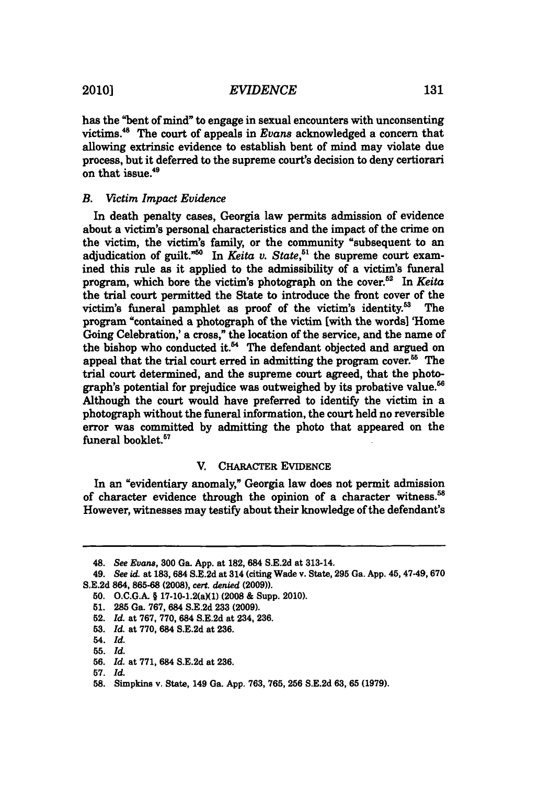has the "bent of mind" to engage in sexual encounters with unconsenting victims." The court of appeals in *Evans* acknowledged a concern that allowing extrinsic evidence to establish bent of mind may violate due process, but it deferred to the supreme court's decision to deny certiorari on that issue.49

# *B. Victim Impact Evidence*

In death penalty cases, Georgia law permits admission of evidence about a victim's personal characteristics and the impact of the crime on the victim, the victim's family, or the community "subsequent to an adjudication of guilt.<sup>"50</sup> In *Keita v. State*,<sup>51</sup> the supreme court examined this rule as it applied to the admissibility of a victim's funeral program, which bore the victim's photograph on the cover.<sup>52</sup> In *Keita* the trial court permitted the State to introduce the front cover of the victim's funeral pamphlet as proof of the victim's identity. $53$  The program "contained a photograph of the victim [with the words] 'Home Going Celebration,' a cross," the location of the service, and the name of the bishop who conducted it. $<sup>54</sup>$  The defendant objected and argued on</sup> appeal that the trial court erred in admitting the program cover.<sup>55</sup> The trial court determined, and the supreme court agreed, that the photograph's potential for prejudice was outweighed **by** its probative value.56 Although the court would have preferred to identify the victim in a photograph without the funeral information, the court held no reversible error was committed **by** admitting the photo that appeared on the funeral booklet.<sup>57</sup>

## V. CHARACTER EVIDENCE

In an "evidentiary anomaly," Georgia law does not permit admission of character evidence through the opinion of a character witness.<sup>58</sup> However, witnesses may testify about their knowledge of the defendant's

<sup>48.</sup> See Evans, **300** Ga. **App.** at **182,** 684 **S.E.2d** at 313-14.

<sup>49.</sup> See id. at **183, 684 S.E.2d** at 314 (citing Wade v. State, **295** Ga. **App.** 45, 47-49,670 **S.E.2d 864, 865-68 (2008),** cert. denied **(2009)).**

<sup>50.</sup> O.C.G.A. § 17-10-1.2(a)(1) (2008 & Supp. 2010).

**<sup>51. 285</sup>** Ga. **767,** 684 **S.E.2d 233 (2009).**

<sup>52.</sup> *Id.* at **767, 770,** 684 **S.E.2d** at 234, **236.**

**<sup>53.</sup>** *Id.* at **770,** 684 **S.E.2d** at **236.**

<sup>54.</sup> *Id.*

**<sup>55.</sup>** *Id.*

**<sup>56.</sup>** *Id.* at **771,** 684 **S.E.2d** at **236.**

**<sup>57.</sup>** *Id.*

**<sup>58.</sup>** Simpkins v. State, 149 Ga. **App. 763, 765, 256 S.E.2d 63, 65 (1979).**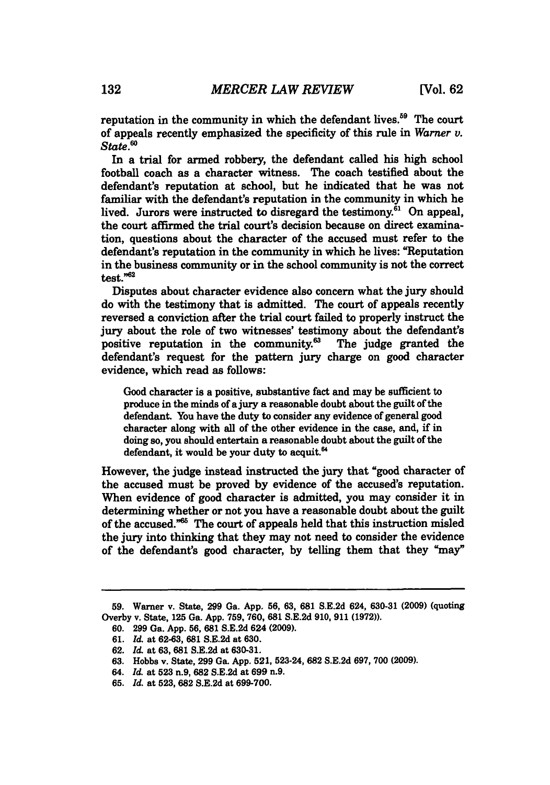reputation in the community in which the defendant lives.<sup>59</sup> The court of appeals recently emphasized the specificity of this rule in *Warner v. State."*

In a trial for armed robbery, the defendant called his high school football coach as a character witness. The coach testified about the defendant's reputation at school, but he indicated that he was not familiar with the defendant's reputation in the community in which he lived. Jurors were instructed to disregard the testimony.<sup>61</sup> On appeal, the court affirmed the trial court's decision because on direct examination, questions about the character of the accused must refer to the defendant's reputation in the community in which he lives: "Reputation in the business community or in the school community is not the correct test."62

Disputes about character evidence also concern what the jury should do with the testimony that is admitted. The court of appeals recently reversed a conviction after the trial court failed to properly instruct the jury about the role of two witnesses' testimony about the defendant's positive reputation in the community. $^{63}$  The judge granted the defendant's request for the pattern jury charge on good character evidence, which read as follows:

Good character is a positive, substantive fact and may be sufficient to produce in the minds of a jury a reasonable doubt about the guilt of the defendant. You have the duty to consider any evidence of general good character along with all of the other evidence in the case, and, **if** in doing so, you should entertain a reasonable doubt about the guilt of the defendant, it would be your duty to acquit.<sup>64</sup>

However, the judge instead instructed the jury that "good character of the accused must be proved **by** evidence of the accused's reputation. When evidence of good character is admitted, you may consider it in determining whether or not you have a reasonable doubt about the guilt of the accused." $65$  The court of appeals held that this instruction misled the jury into thinking that they may not need to consider the evidence of the defendant's good character, **by** telling them that they "may"

**<sup>59.</sup>** Warner v. State, **299** Ga. **App. 56, 63, 681 S.E.2d** 624, **630-31 (2009)** (quoting Overby v. State, **125** Ga. **App. 759, 760, 681 S.E.2d 910, 911 (1972)).**

**<sup>60. 299</sup>** Ga. **App. 56, 681 S.E.2d** 624 **(2009).**

**<sup>61.</sup>** *Id.* at **62-63, 681 S.E.2d** at **630.**

**<sup>62.</sup>** *Id.* at **63, 681 S.E.2d** at **630-31.**

**<sup>63.</sup>** Hobbs v. State, **299** Ga. **App. 521,** 523-24, **682 S.E.2d 697, 700 (2009).**

<sup>64.</sup> *Id.* at **523** n.9, **682 S.E.2d** at **699** n.9.

**<sup>65.</sup>** *Id.* at **523, 682 S.E.2d** at **699-700.**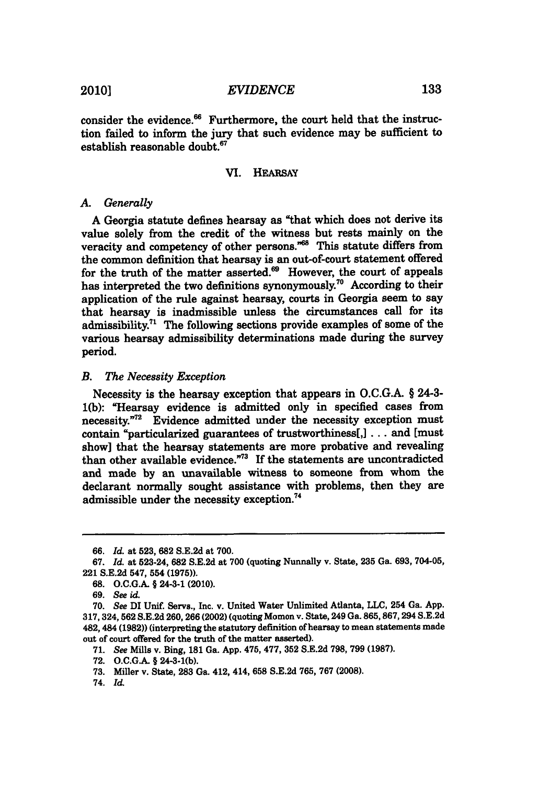consider the evidence.<sup>66</sup> Furthermore, the court held that the instruction failed to inform the jury that such evidence may be sufficient to establish reasonable doubt.

## VI. HEARSAY

#### *A Generally*

**A** Georgia statute defines hearsay as "that which does not derive its value solely from the credit of the witness but rests mainly on the veracity and competency of other persons."<sup>68</sup> This statute differs from the common definition that hearsay is an out-of-court statement offered for the truth of the matter asserted. $\mathbf{^{69}}$  However, the court of appeals has interpreted the two definitions synonymously.<sup>70</sup> According to their application of the rule against hearsay, courts in Georgia seem to say that hearsay is inadmissible unless the circumstances call for its admissibility.<sup>71</sup> The following sections provide examples of some of the various hearsay admissibility determinations made during the survey period.

#### *B. The Necessity Exception*

Necessity is the hearsay exception that appears in **O.C.G.A.** *§* 24-3- **1(b):** "Hearsay evidence is admitted only in specified cases from necessity."<sup>72</sup> Evidence admitted under the necessity exception must contain "particularized guarantees of trustworthiness[,] **. . .** and [must show] that the hearsay statements are more probative and revealing than other available evidence."<sup>73</sup> If the statements are uncontradicted and made **by** an unavailable witness to someone from whom the declarant normally sought assistance with problems, then they are admissible under the necessity exception."

**<sup>66.</sup>** *Id.* at **523, 682 S.E.2d** at **700.**

**<sup>67.</sup>** *Id.* at 523-24, **682 S.E.2d** at **700** (quoting Nunnally v. State, **235** Ga. **693,** 704-05, 221 **S.E.2d** 547, 554 **(1975)).**

**<sup>68.</sup> O.C.G.A. §** 24-3-1 (2010).

**<sup>69.</sup>** See id.

**<sup>70.</sup>** See **DI** Unif. Servs., Inc. v. United Water Unlimited Atlanta, **LLC,** 254 Ga. **App. 317,324,562 S.E.2d 260,266** (2002) (quoting Momon v. State, 249 Ga. **865,867,294 S.E.2d** 482, 484 **(1982))** (interpreting the statutory definition of hearsay to mean statements made out of court offered for the truth of the matter asserted).

**<sup>71.</sup>** *See* Mills v. Bing, **181** Ga. **App.** 475, **477, 352 S.E.2d 798, 799 (1987).**

**<sup>72.</sup> O.C.G.A. §** 24-3-1(b).

**<sup>73.</sup>** Miller v. State, **283** Ga. 412, 414, **658 S.E.2d 765, 767 (2008).**

<sup>74.</sup> *Id.*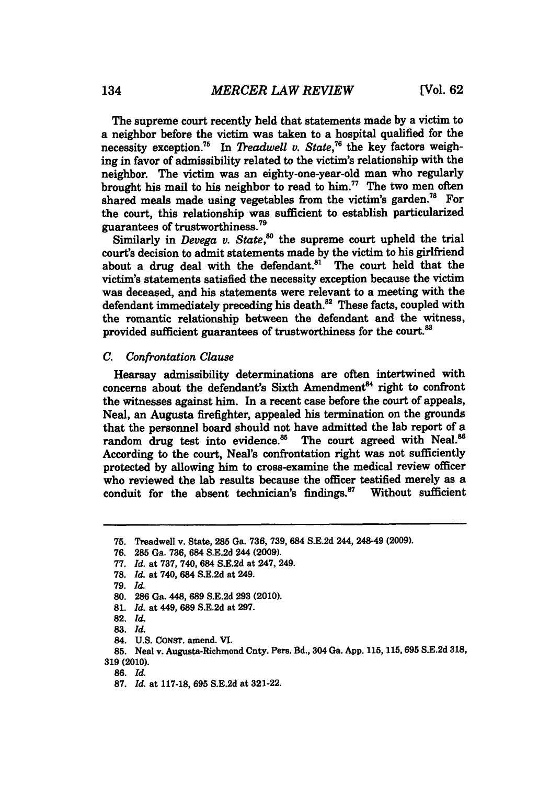The supreme court recently held that statements made **by** a victim to a neighbor before the victim was taken to a hospital qualified for the necessity exception.<sup>75</sup> In *Treadwell v. State*,<sup>76</sup> the key factors weighing in favor of admissibility related to the victim's relationship with the neighbor. The victim was an eighty-one-year-old man who regularly brought his mail to his neighbor to read to him." The two men often shared meals made using vegetables from the victim's garden.<sup>78</sup> For the court, this relationship was sufficient to establish particularized guarantees of trustworthiness. <sup>79</sup>

Similarly in *Devega v. State*,<sup>80</sup> the supreme court upheld the trial court's decision to admit statements made **by** the victim to his girlfriend about a drug deal with the defendant. $81$  The court held that the victim's statements satisfied the necessity exception because the victim was deceased, and his statements were relevant to a meeting with the defendant immediately preceding his death.<sup>82</sup> These facts, coupled with the romantic relationship between the defendant and the witness, provided sufficient guarantees of trustworthiness for the court.<sup>83</sup>

#### *C. Confrontation Clause*

Hearsay admissibility determinations are often intertwined with concerns about the defendant's Sixth Amendment<sup>84</sup> right to confront the witnesses against him. In a recent case before the court of appeals, Neal, an Augusta firefighter, appealed his termination on the grounds that the personnel board should not have admitted the lab report of a random drug test into evidence. $85$  The court agreed with Neal. $86$ According to the court, Neal's confrontation right was not sufficiently protected **by** allowing him to cross-examine the medical review officer who reviewed the lab results because the officer testified merely as a conduit for the absent technician's findings.<sup>87</sup> Without sufficient

**86.** *Id.*

**<sup>75.</sup>** Treadwell v. State, **285** Ga. **736, 739,** 684 **S.E.2d** 244, 248-49 **(2009).**

**<sup>76. 285</sup>** Ga. **736,** 684 **S.E.2d** 244 **(2009).**

**<sup>77.</sup>** *Id.* at **737,** 740, 684 **S.E.2d** at 247, 249.

**<sup>78.</sup>** *Id.* at 740, 684 **S.E.2d** at 249.

*<sup>79.</sup> Id.*

**<sup>80. 286</sup>** Ga. 448, **689 S.E.2d 293** (2010).

**<sup>81.</sup>** *Id.* at 449, **689 S.E.2d** at **297.**

**<sup>82.</sup>** *Id*

**<sup>83.</sup>** *Id.*

<sup>84.</sup> **U.S.** CoNsT. amend. VI.

**<sup>85.</sup>** Neal v. Augusta-Richmond Cnty. Pers. Bd., 304 Ga. **App. 115, 115,695 S.E.2d 318, 319 (2010).**

**<sup>87.</sup>** *Id.* at **117-18, 695 S.E.2d** at **321-22.**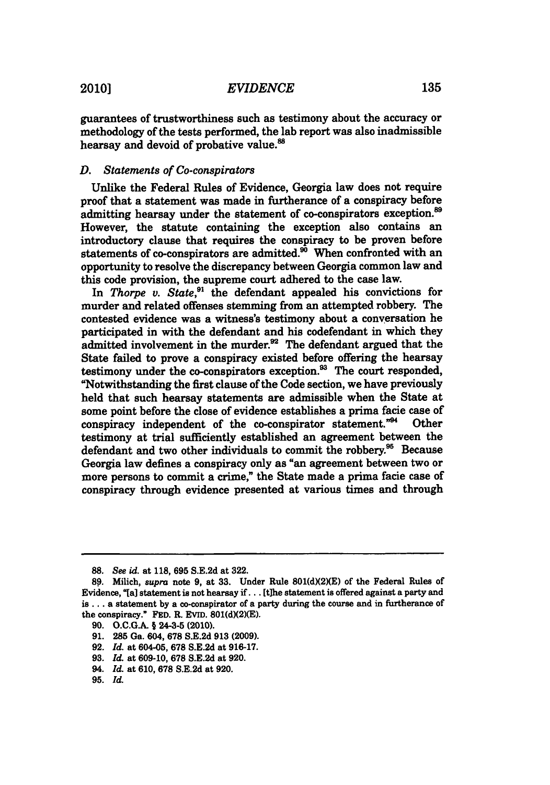*EVIDENCE* 2010] **135**

guarantees of trustworthiness such as testimony about the accuracy or methodology of the tests performed, the lab report was also inadmissible hearsay and devoid of probative value.<sup>88</sup>

## *D. Statements of Co-conspirators*

Unlike the Federal Rules of Evidence, Georgia law does not require proof that a statement was made in furtherance of a conspiracy before admitting hearsay under the statement of co-conspirators exception.<sup>89</sup> However, the statute containing the exception also contains an introductory clause that requires the conspiracy to be proven before statements of co-conspirators are admitted.<sup>30</sup> When confronted with an opportunity to resolve the discrepancy between Georgia common law and this code provision, the supreme court adhered to the case law.

In *Thorpe v. State*,<sup>91</sup> the defendant appealed his convictions for murder and related offenses stemming from an attempted robbery. The contested evidence was a witness's testimony about a conversation he participated in with the defendant and his codefendant in which they admitted involvement in the murder.<sup>92</sup> The defendant argued that the State failed to prove a conspiracy existed before offering the hearsay testimony under the co-conspirators exception. $^{33}$  The court responded, "Notwithstanding the first clause of the Code section, we have previously held that such hearsay statements are admissible when the State at some point before the close of evidence establishes a prima facie case of conspiracy independent of the co-conspirator statement."<sup>94</sup> **Other** testimony at trial sufficiently established an agreement between the defendant and two other individuals to commit the robbery.<sup>95</sup> Because Georgia law defines a conspiracy only as "an agreement between two or more persons to commit a crime," the State made a prima facie case of conspiracy through evidence presented at various times and through

- **90. O.C.G.A. §** 24-3-5 (2010).
- **91. 285** Ga. 604, **678 S.E.2d 913 (2009).**
- **92.** *Id.* at 604-05, **678 S.E.2d** at **916-17.**
- **93.** *Id.* at **609-10, 678 S.E.2d** at **920.**
- 94. *Id.* at **610, 678 S.E.2d** at **920.**
- **95.** *Id.*

**<sup>88.</sup>** *See id. at* **118, 695 S.E.2d** at **322.**

**<sup>89.</sup>** Milich, *supra* note **9,** at **33.** Under Rule **801(dX2)(E)** of the Federal Rules of Evidence, "[a] statement is not hearsay if. . . [t]he statement is offered against a party and is . **. .** a statement **by** a co-conspirator of a party during the course and in furtherance of the conspiracy." FED. R. EVID.  $801(d)(2)(E)$ .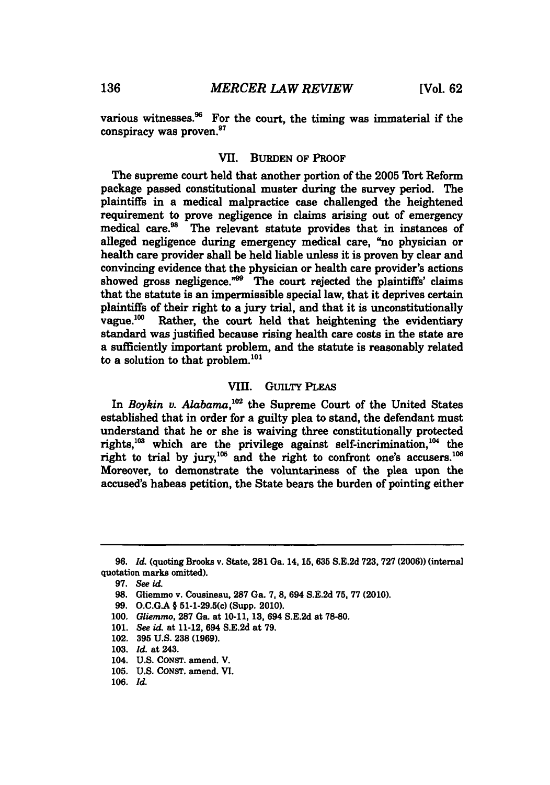various witnesses. $96$  For the court, the timing was immaterial if the conspiracy was proven.<sup>97</sup>

# VII. **BURDEN** OF PROOF

The supreme court held that another portion of the **2005** Tort Reform package passed constitutional muster during the survey period. The plaintiffs in a medical malpractice case challenged the heightened requirement to prove negligence in claims arising out of emergency medical care.<sup>98</sup> The relevant statute provides that in instances of alleged negligence during emergency medical care, "no physician or health care provider shall be held liable unless it is proven **by** clear and convincing evidence that the physician or health care provider's actions showed gross negligence." $99$  The court rejected the plaintiffs' claims that the statute is an impermissible special law, that it deprives certain plaintiffs of their right to a jury trial, and that it is unconstitutionally vague.<sup>100</sup> Rather, the court held that heightening the evidentiary standard was justified because rising health care costs in the state are a sufficiently important problem, and the statute is reasonably related to a solution to that problem. $^{101}$ 

# VIII. GUILTY PLEAS

In *Boykin v. Alabama*,<sup>102</sup> the Supreme Court of the United States established that in order for a guilty plea to stand, the defendant must understand that he or she is waiving three constitutionally protected rights, $^{103}$  which are the privilege against self-incrimination, $^{104}$  the right to trial by  $jury$ ,<sup>105</sup> and the right to confront one's accusers.<sup>106</sup> Moreover, to demonstrate the voluntariness of the plea upon the accused's habeas petition, the State bears the burden of pointing either

**<sup>96.</sup>** *Id.* (quoting Brooks v. State, **281** Ga. **14, 15, 635 S.E.2d 723, 727 (2006))** (internal quotation marks omitted).

**<sup>97.</sup>** *See id.*

**<sup>98.</sup>** Gliemmo v. Cousineau, **287** Ga. **7, 8,** 694 **S.E.2d 75, 77** (2010).

**<sup>99.</sup> O.C.GA §** 51-1-29.5(c) (Supp. 2010).

**<sup>100.</sup>** *Gliemmo,* **287** Ga. at **10-11, 13,** 694 **S.E.2d** at **78-80.**

**<sup>101.</sup>** *See id.* at 11-12, 694 **S.E.2d** at **79.**

<sup>102.</sup> **395 U.S. 238 (1969).**

**<sup>103.</sup>** *Id.* at 243.

<sup>104.</sup> **U.S. CONST.** amend. V.

**<sup>105.</sup> U.S. CONST.** amend. VI.

**<sup>106.</sup>** *Id.*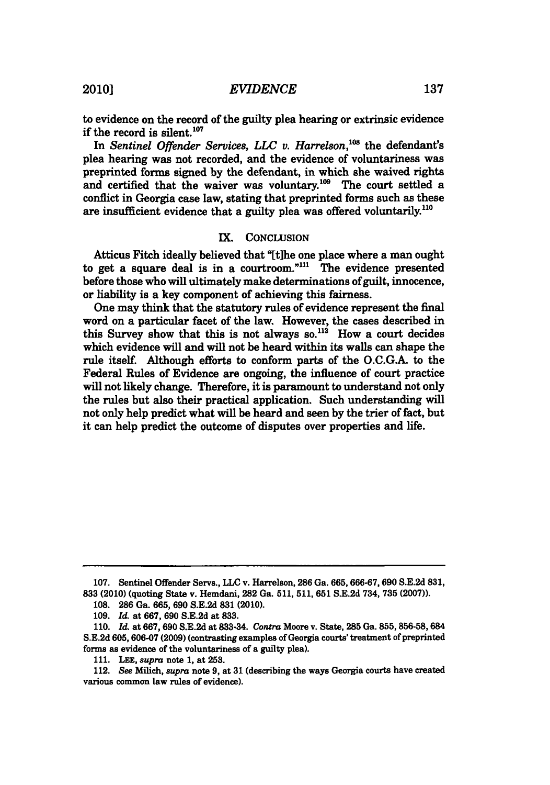to evidence on the record of the guilty plea hearing or extrinsic evidence if the record is silent.<sup>107</sup>

In *Sentinel Offender Services, LLC v. Harrelson*,<sup>108</sup> the defendant's plea hearing was not recorded, and the evidence of voluntariness was preprinted forms signed **by** the defendant, in which she waived rights and certified that the waiver was voluntary.<sup>109</sup> The court settled a conflict in Georgia case law, stating that preprinted forms such as these are insufficient evidence that a guilty plea was offered voluntarily.<sup>110</sup>

# IX. CONCLUsIoN

Atticus Fitch ideally believed that "[tihe one place where a man ought to get a square deal is in a courtroom."<sup>111</sup> The evidence presented before those who will ultimately make determinations of guilt, innocence, or liability is a key component of achieving this fairness.

One may think that the statutory rules of evidence represent the final word on a particular facet of the law. However, the cases described in this Survey show that this is not always  $so<sup>112</sup>$  How a court decides which evidence will and will not be heard within its walls can shape the rule itself. Although efforts to conform parts of the **O.C.G.A.** to the Federal Rules of Evidence are ongoing, the influence of court practice will not likely change. Therefore, it is paramount to understand not only the rules but also their practical application. Such understanding will not only help predict what will be heard and seen **by** the trier of fact, but it can help predict the outcome of disputes over properties and life.

**<sup>107.</sup>** Sentinel Offender Servs., **LLC** v. Harrelson, **286** Ga. **665,666-67,690 S.E.2d 831, 833** (2010) (quoting State v. Hemdani, **282** Ga. **511, 511, 651 S.E.2d** 734, **735 (2007)).**

**<sup>108.</sup>** 286 Ga. 665, 690 8.E.2d 831 (2010).

*<sup>109.</sup> Id.* at **667, 690 S.E.2d** at **833.**

*<sup>110.</sup> Id.* at **667, 690 S.E.2d** at **833-34.** *Contra* Moore v. State, **285** Ga. **855, 856-58,** 684 **S.E.2d 605, 606-07 (2009)** (contrasting examples of Georgia courts' treatment of preprinted forms as evidence of the voluntariness of a guilty plea).

**<sup>111.</sup> LEE, supra** note **1,** at **253.**

<sup>112.</sup> See Milich, *supra* note **9,** at **31** (describing the ways Georgia courts have created various common law rules of evidence).